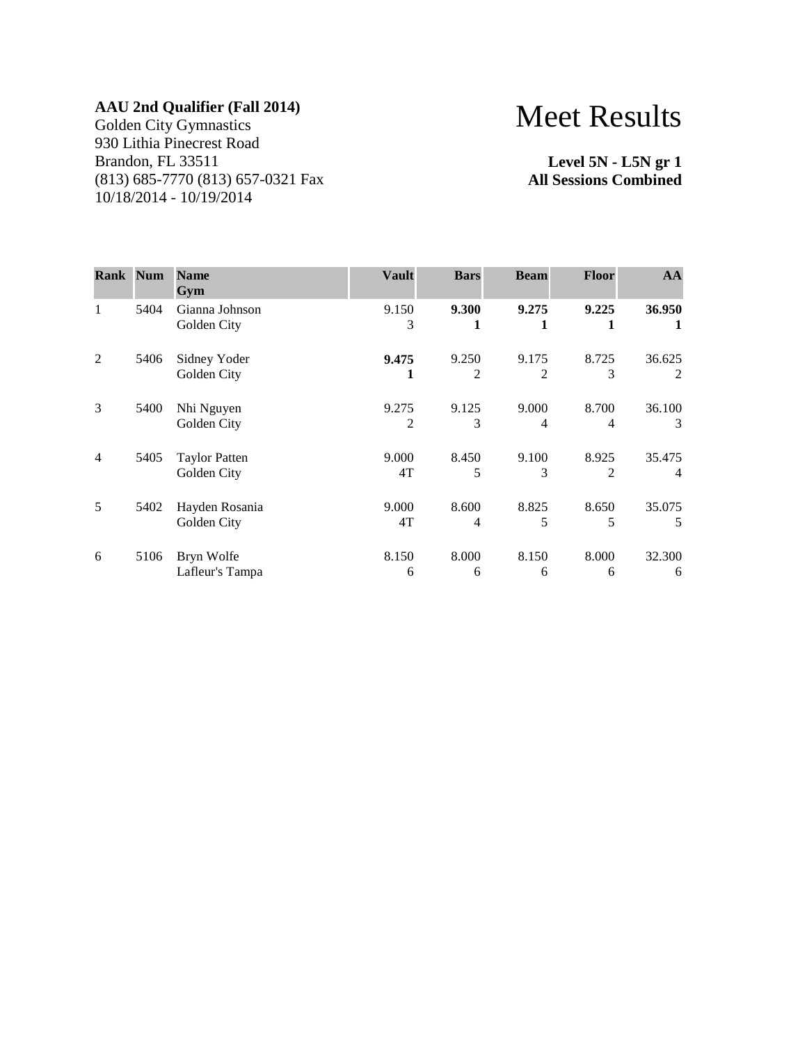Golden City Gymnastics 930 Lithia Pinecrest Road Brandon, FL 33511 (813) 685-7770 (813) 657-0321 Fax 10/18/2014 - 10/19/2014

# Meet Results

**Level 5N - L5N gr 1 All Sessions Combined**

| <b>Rank Num</b> |      | <b>Name</b><br>Gym                  | <b>Vault</b> | <b>Bars</b> | <b>Beam</b>             | <b>Floor</b>            | AA                       |
|-----------------|------|-------------------------------------|--------------|-------------|-------------------------|-------------------------|--------------------------|
| 1               | 5404 | Gianna Johnson<br>Golden City       | 9.150<br>3   | 9.300<br>1  | 9.275                   | 9.225<br>1              | 36.950<br>1              |
| 2               | 5406 | Sidney Yoder<br>Golden City         | 9.475        | 9.250<br>2  | 9.175<br>2              | 8.725<br>3              | 36.625<br>2              |
| 3               | 5400 | Nhi Nguyen<br>Golden City           | 9.275<br>2   | 9.125<br>3  | 9.000<br>$\overline{4}$ | 8.700<br>4              | 36.100<br>3              |
| $\overline{4}$  | 5405 | <b>Taylor Patten</b><br>Golden City | 9.000<br>4T  | 8.450<br>5  | 9.100<br>3              | 8.925<br>$\mathfrak{D}$ | 35.475<br>$\overline{4}$ |
| 5               | 5402 | Hayden Rosania<br>Golden City       | 9.000<br>4T  | 8.600<br>4  | 8.825<br>5              | 8.650<br>5              | 35.075<br>5              |
| 6               | 5106 | Bryn Wolfe<br>Lafleur's Tampa       | 8.150<br>6   | 8.000<br>6  | 8.150<br>6              | 8.000<br>6              | 32.300<br>6              |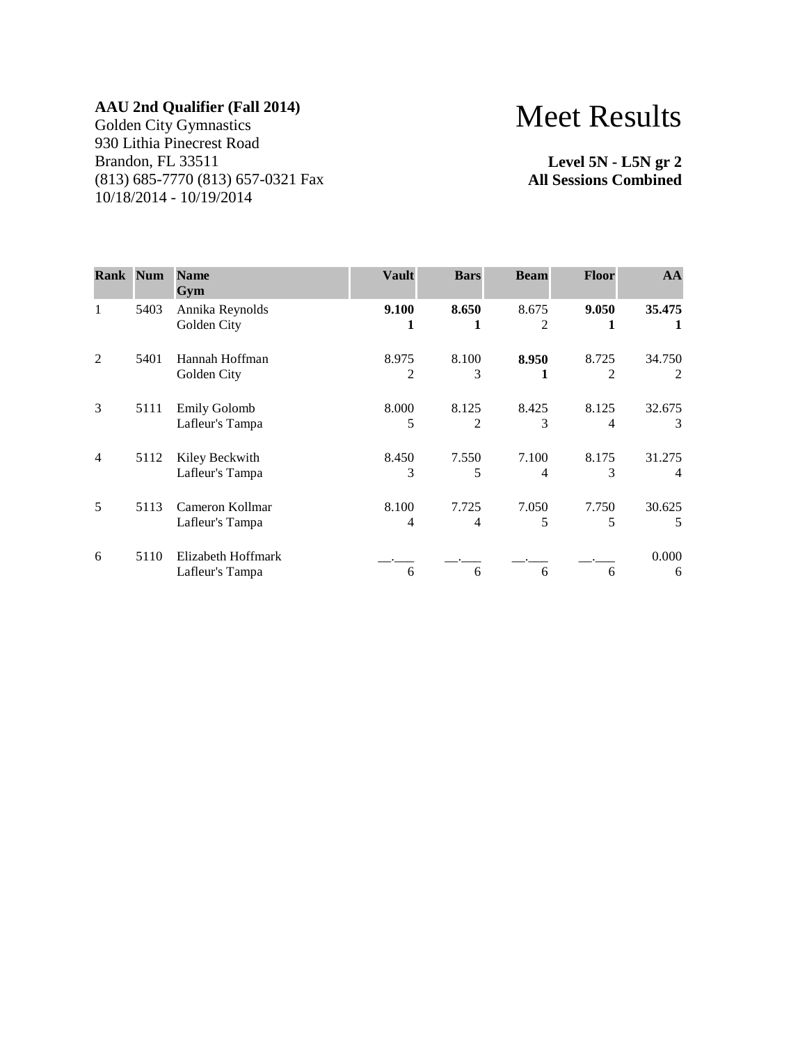Golden City Gymnastics 930 Lithia Pinecrest Road Brandon, FL 33511 (813) 685-7770 (813) 657-0321 Fax 10/18/2014 - 10/19/2014

# Meet Results

**Level 5N - L5N gr 2 All Sessions Combined**

| <b>Rank Num</b> |      | <b>Name</b><br>Gym                     | <b>Vault</b> | <b>Bars</b> | <b>Beam</b> | <b>Floor</b> | AA                       |
|-----------------|------|----------------------------------------|--------------|-------------|-------------|--------------|--------------------------|
| 1               | 5403 | Annika Reynolds<br>Golden City         | 9.100        | 8.650       | 8.675<br>2  | 9.050        | 35.475                   |
| $\overline{2}$  | 5401 | Hannah Hoffman<br>Golden City          | 8.975<br>2   | 8.100<br>3  | 8.950       | 8.725<br>2   | 34.750<br>2              |
| 3               | 5111 | <b>Emily Golomb</b><br>Lafleur's Tampa | 8.000<br>5   | 8.125<br>2  | 8.425<br>3  | 8.125<br>4   | 32.675<br>3              |
| $\overline{4}$  | 5112 | Kiley Beckwith<br>Lafleur's Tampa      | 8.450<br>3   | 7.550<br>5  | 7.100<br>4  | 8.175<br>3   | 31.275<br>$\overline{4}$ |
| 5               | 5113 | Cameron Kollmar<br>Lafleur's Tampa     | 8.100<br>4   | 7.725<br>4  | 7.050<br>5  | 7.750<br>5   | 30.625<br>5              |
| 6               | 5110 | Elizabeth Hoffmark<br>Lafleur's Tampa  | 6            | 6           | 6           | 6            | 0.000<br>6               |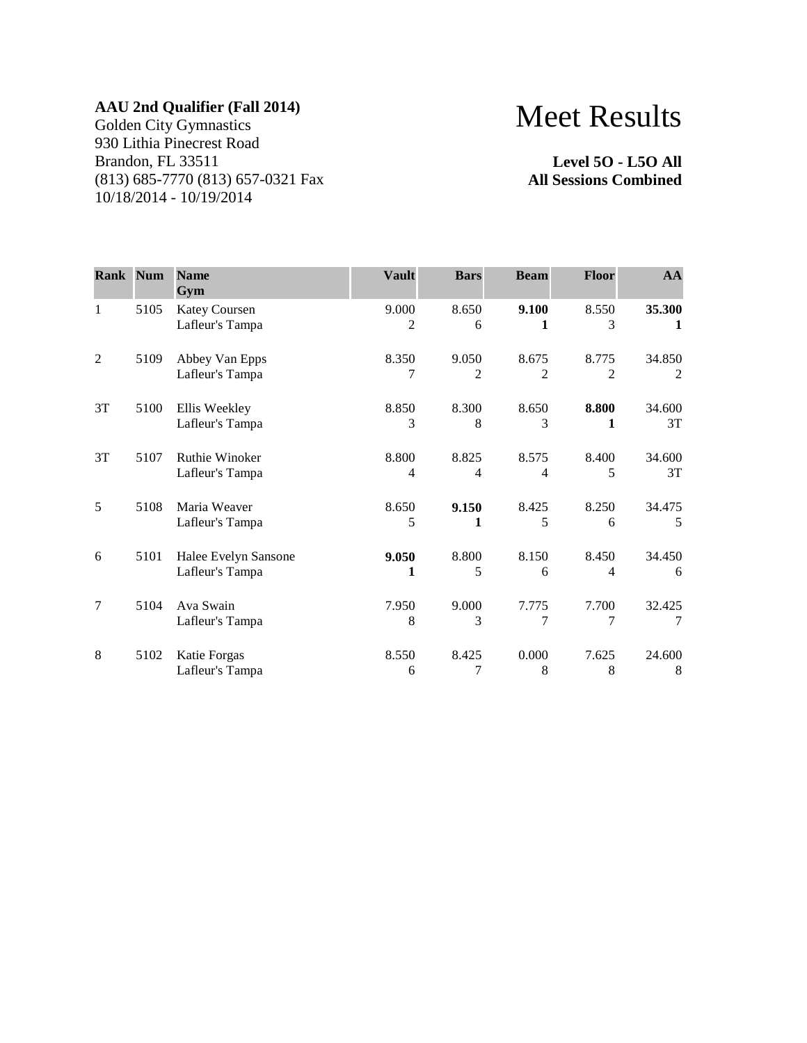Golden City Gymnastics 930 Lithia Pinecrest Road Brandon, FL 33511 (813) 685-7770 (813) 657-0321 Fax 10/18/2014 - 10/19/2014

# Meet Results

**Level 5O - L5O All All Sessions Combined**

| Rank Num       |      | <b>Name</b><br>Gym                      | <b>Vault</b>            | <b>Bars</b>             | <b>Beam</b>             | <b>Floor</b>            | AA           |
|----------------|------|-----------------------------------------|-------------------------|-------------------------|-------------------------|-------------------------|--------------|
| $\mathbf{1}$   | 5105 | <b>Katey Coursen</b><br>Lafleur's Tampa | 9.000<br>2              | 8.650<br>6              | 9.100<br>1              | 8.550<br>3              | 35.300<br>1  |
| $\overline{2}$ | 5109 | Abbey Van Epps<br>Lafleur's Tampa       | 8.350<br>7              | 9.050<br>$\overline{c}$ | 8.675<br>$\mathfrak{D}$ | 8.775<br>$\overline{2}$ | 34.850<br>2  |
| 3T             | 5100 | Ellis Weekley<br>Lafleur's Tampa        | 8.850<br>3              | 8.300<br>8              | 8.650<br>3              | 8.800<br>1              | 34.600<br>3T |
| 3T             | 5107 | Ruthie Winoker<br>Lafleur's Tampa       | 8.800<br>$\overline{4}$ | 8.825<br>4              | 8.575<br>$\overline{4}$ | 8.400<br>5              | 34.600<br>3T |
| 5              | 5108 | Maria Weaver<br>Lafleur's Tampa         | 8.650<br>5              | 9.150<br>1              | 8.425<br>5              | 8.250<br>6              | 34.475<br>5  |
| 6              | 5101 | Halee Evelyn Sansone<br>Lafleur's Tampa | 9.050<br>1              | 8.800<br>5              | 8.150<br>6              | 8.450<br>4              | 34.450<br>6  |
| 7              | 5104 | Ava Swain<br>Lafleur's Tampa            | 7.950<br>8              | 9.000<br>3              | 7.775<br>7              | 7.700<br>7              | 32.425<br>7  |
| 8              | 5102 | Katie Forgas<br>Lafleur's Tampa         | 8.550<br>6              | 8.425<br>7              | 0.000<br>8              | 7.625<br>8              | 24.600<br>8  |